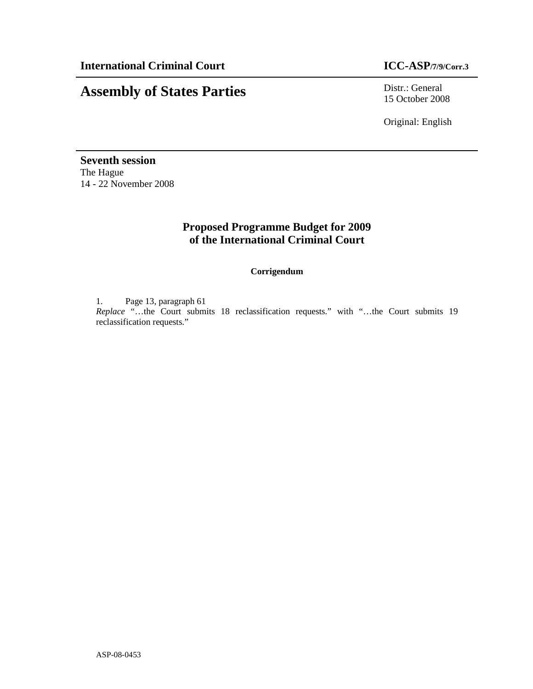# **Assembly of States Parties** Distr.: General

15 October 2008

Original: English

**Seventh session**  The Hague 14 - 22 November 2008

## **Proposed Programme Budget for 2009 of the International Criminal Court**

**Corrigendum** 

1. Page 13, paragraph 61

*Replace* "…the Court submits 18 reclassification requests." with "…the Court submits 19 reclassification requests."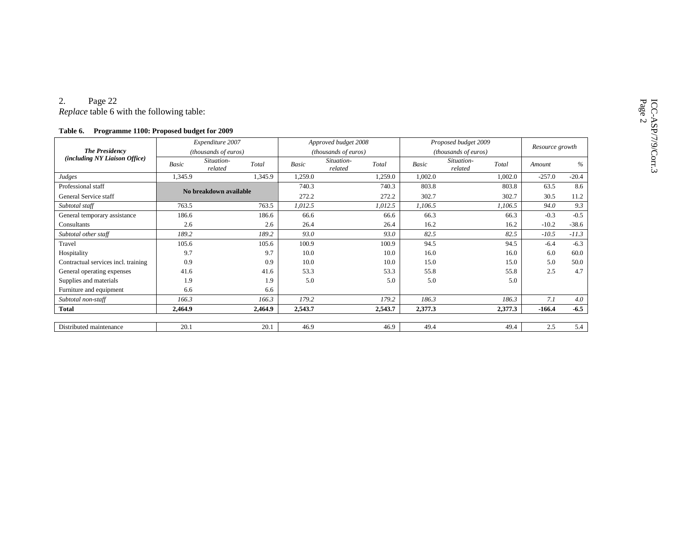| Table 6.                                               | Programme 1100: Proposed budget for 2009 |                       |         |                      |                       |         |                      |                       |         |                 |         |
|--------------------------------------------------------|------------------------------------------|-----------------------|---------|----------------------|-----------------------|---------|----------------------|-----------------------|---------|-----------------|---------|
| <b>The Presidency</b><br>(including NY Liaison Office) | Expenditure 2007                         |                       |         | Approved budget 2008 |                       |         | Proposed budget 2009 |                       |         | Resource growth |         |
|                                                        |                                          | (thousands of euros)  |         | (thousands of euros) |                       |         | (thousands of euros) |                       |         |                 |         |
|                                                        | Basic                                    | Situation-<br>related | Total   | <b>Basic</b>         | Situation-<br>related | Total   | Basic                | Situation-<br>related | Total   | Amount          | $\%$    |
| Judges                                                 | 1.345.9                                  |                       | 1.345.9 | 1,259.0              |                       | 1,259.0 | 1,002.0              |                       | 1,002.0 | $-257.0$        | $-20.4$ |
| Professional staff                                     | No breakdown available                   |                       | 740.3   |                      | 740.3                 | 803.8   |                      | 803.8                 | 63.5    | 8.6             |         |
| General Service staff                                  |                                          |                       | 272.2   |                      | 272.2                 | 302.7   |                      | 302.7                 | 30.5    | 11.2            |         |
| Subtotal staff                                         | 763.5                                    |                       | 763.5   | 1,012.5              |                       | 1,012.5 | 1,106.5              |                       | 1,106.5 | 94.0            | 9.3     |
| General temporary assistance                           | 186.6                                    |                       | 186.6   | 66.6                 |                       | 66.6    | 66.3                 |                       | 66.3    | $-0.3$          | $-0.5$  |
| Consultants                                            | 2.6                                      |                       | 2.6     | 26.4                 |                       | 26.4    | 16.2                 |                       | 16.2    | $-10.2$         | $-38.6$ |
| Subtotal other staff                                   | 189.2                                    |                       | 189.2   | 93.0                 |                       | 93.0    | 82.5                 |                       | 82.5    | $-10.5$         | $-11.3$ |
| Travel                                                 | 105.6                                    |                       | 105.6   | 100.9                |                       | 100.9   | 94.5                 |                       | 94.5    | $-6.4$          | $-6.3$  |
| Hospitality                                            | 9.7                                      |                       | 9.7     | 10.0                 |                       | 10.0    | 16.0                 |                       | 16.0    | 6.0             | 60.0    |
| Contractual services incl. training                    | 0.9                                      |                       | 0.9     | 10.0                 |                       | 10.0    | 15.0                 |                       | 15.0    | 5.0             | 50.0    |
| General operating expenses                             | 41.6                                     |                       | 41.6    | 53.3                 |                       | 53.3    | 55.8                 |                       | 55.8    | 2.5             | 4.7     |
| Supplies and materials                                 | 1.9                                      |                       | 1.9     | 5.0                  |                       | 5.0     | 5.0                  |                       | 5.0     |                 |         |
| Furniture and equipment                                | 6.6                                      |                       | 6.6     |                      |                       |         |                      |                       |         |                 |         |
| Subtotal non-staff                                     | 166.3                                    |                       | 166.3   | 179.2                |                       | 179.2   | 186.3                |                       | 186.3   | 7.1             | 4.0     |
| <b>Total</b>                                           | 2,464.9                                  |                       | 2,464.9 | 2,543.7              |                       | 2,543.7 | 2,377.3              |                       | 2,377.3 | $-166.4$        | $-6.5$  |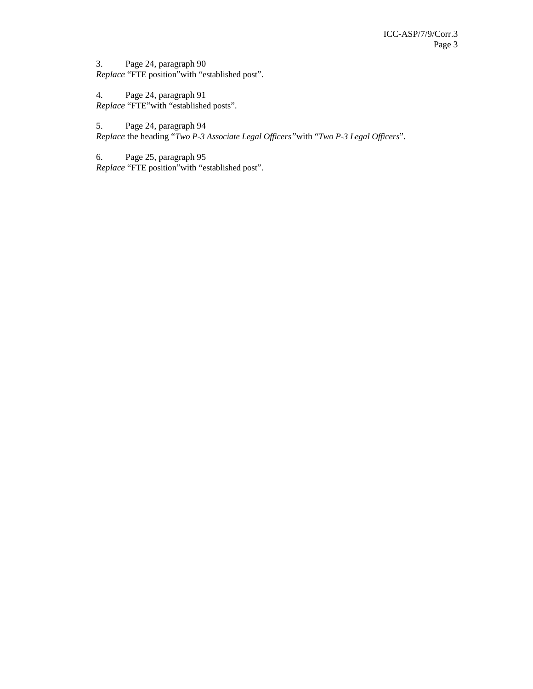3. Page 24, paragraph 90 *Replace* "FTE position"with "established post".

4. Page 24, paragraph 91 *Replace* "FTE"with "established posts".

5. Page 24, paragraph 94 *Replace* the heading "*Two P-3 Associate Legal Officers"*with "*Two P-3 Legal Officers*".

6. Page 25, paragraph 95 *Replace* "FTE position"with "established post".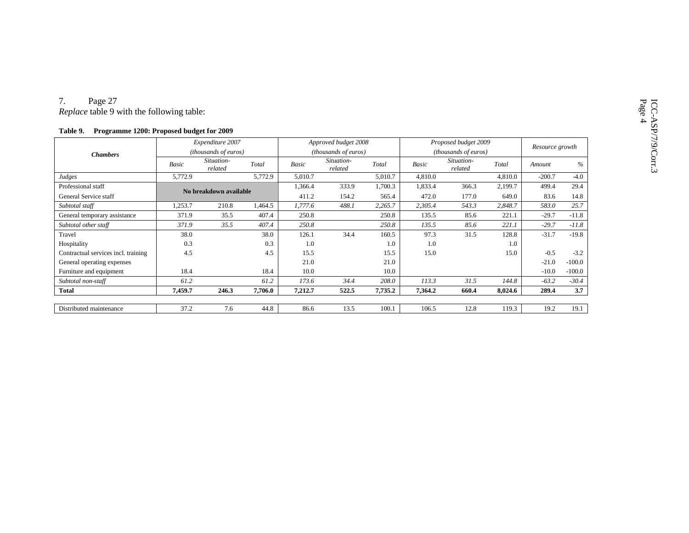| <i>Replace</i> table 9 with the following table:     |                                          |         |         |                                              |         |         |                                              |         |         |                 |          |
|------------------------------------------------------|------------------------------------------|---------|---------|----------------------------------------------|---------|---------|----------------------------------------------|---------|---------|-----------------|----------|
| Programme 1200: Proposed budget for 2009<br>Table 9. |                                          |         |         |                                              |         |         |                                              |         |         |                 |          |
| <b>Chambers</b>                                      | Expenditure 2007<br>(thousands of euros) |         |         | Approved budget 2008<br>(thousands of euros) |         |         | Proposed budget 2009<br>(thousands of euros) |         |         | Resource growth |          |
|                                                      |                                          |         |         |                                              |         |         |                                              |         |         |                 |          |
|                                                      | Judges                                   | 5,772.9 |         | 5,772.9                                      | 5,010.7 |         | 5,010.7                                      | 4,810.0 |         | 4,810.0         | $-200.7$ |
| Professional staff                                   | No breakdown available                   |         | 1,366.4 | 333.9                                        | 1,700.3 | 1,833.4 | 366.3                                        | 2,199.7 | 499.4   | 29.4            |          |
| General Service staff                                |                                          |         | 411.2   | 154.2                                        | 565.4   | 472.0   | 177.0                                        | 649.0   | 83.6    | 14.8            |          |
| Subtotal staff                                       | 1,253.7                                  | 210.8   | 1,464.5 | 1,777.6                                      | 488.1   | 2,265.7 | 2,305.4                                      | 543.3   | 2,848.7 | 583.0           | 25.7     |
| General temporary assistance                         | 371.9                                    | 35.5    | 407.4   | 250.8                                        |         | 250.8   | 135.5                                        | 85.6    | 221.1   | $-29.7$         | $-11.8$  |
| Subtotal other staff                                 | 371.9                                    | 35.5    | 407.4   | 250.8                                        |         | 250.8   | 135.5                                        | 85.6    | 221.1   | $-29.7$         | $-11.8$  |
| Travel                                               | 38.0                                     |         | 38.0    | 126.1                                        | 34.4    | 160.5   | 97.3                                         | 31.5    | 128.8   | $-31.7$         | $-19.8$  |
| Hospitality                                          | 0.3                                      |         | 0.3     | 1.0                                          |         | 1.0     | 1.0                                          |         | 1.0     |                 |          |
| Contractual services incl. training                  | 4.5                                      |         | 4.5     | 15.5                                         |         | 15.5    | 15.0                                         |         | 15.0    | $-0.5$          | $-3.2$   |
| General operating expenses                           |                                          |         |         | 21.0                                         |         | 21.0    |                                              |         |         | $-21.0$         | $-100.0$ |
| Furniture and equipment                              | 18.4                                     |         | 18.4    | 10.0                                         |         | 10.0    |                                              |         |         | $-10.0$         | $-100.0$ |
| Subtotal non-staff                                   | 61.2                                     |         | 61.2    | 173.6                                        | 34.4    | 208.0   | 113.3                                        | 31.5    | 144.8   | $-63.2$         | $-30.4$  |
| <b>Total</b>                                         | 7,459.7                                  | 246.3   | 7,706.0 | 7,212.7                                      | 522.5   | 7,735.2 | 7,364.2                                      | 660.4   | 8,024.6 | 289.4           | 3.7      |
|                                                      |                                          |         |         |                                              |         |         |                                              |         |         |                 |          |
| Distributed maintenance                              | 37.2                                     | 7.6     | 44.8    | 86.6                                         | 13.5    | 100.1   | 106.5                                        | 12.8    | 119.3   | 19.2            | 19.1     |